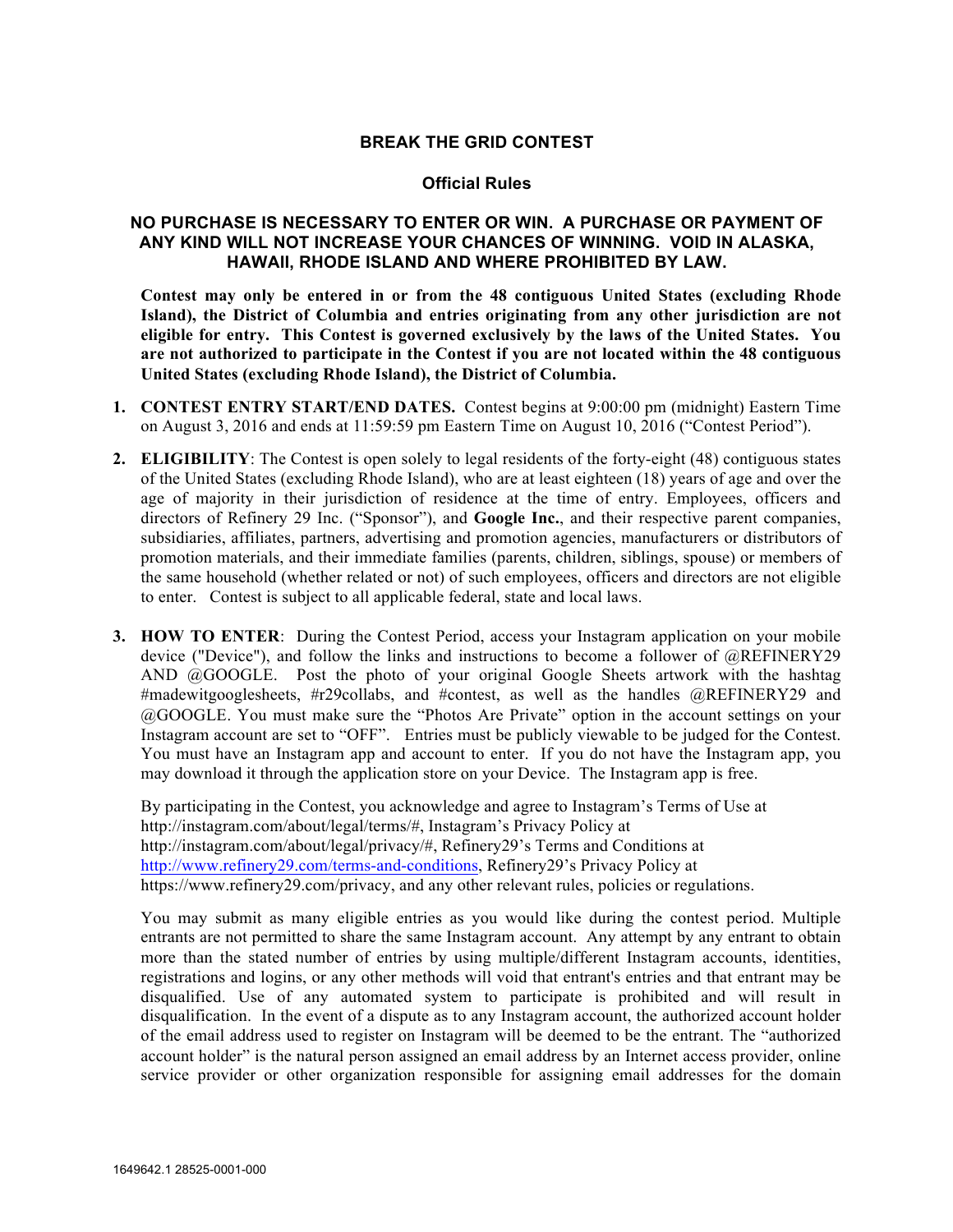## **BREAK THE GRID CONTEST**

## **Official Rules**

## **NO PURCHASE IS NECESSARY TO ENTER OR WIN. A PURCHASE OR PAYMENT OF ANY KIND WILL NOT INCREASE YOUR CHANCES OF WINNING. VOID IN ALASKA, HAWAII, RHODE ISLAND AND WHERE PROHIBITED BY LAW.**

**Contest may only be entered in or from the 48 contiguous United States (excluding Rhode Island), the District of Columbia and entries originating from any other jurisdiction are not eligible for entry. This Contest is governed exclusively by the laws of the United States. You are not authorized to participate in the Contest if you are not located within the 48 contiguous United States (excluding Rhode Island), the District of Columbia.**

- **1. CONTEST ENTRY START/END DATES.** Contest begins at 9:00:00 pm (midnight) Eastern Time on August 3, 2016 and ends at 11:59:59 pm Eastern Time on August 10, 2016 ("Contest Period").
- **2. ELIGIBILITY**: The Contest is open solely to legal residents of the forty-eight (48) contiguous states of the United States (excluding Rhode Island), who are at least eighteen (18) years of age and over the age of majority in their jurisdiction of residence at the time of entry. Employees, officers and directors of Refinery 29 Inc. ("Sponsor"), and **Google Inc.**, and their respective parent companies, subsidiaries, affiliates, partners, advertising and promotion agencies, manufacturers or distributors of promotion materials, and their immediate families (parents, children, siblings, spouse) or members of the same household (whether related or not) of such employees, officers and directors are not eligible to enter. Contest is subject to all applicable federal, state and local laws.
- **3. HOW TO ENTER**: During the Contest Period, access your Instagram application on your mobile device ("Device"), and follow the links and instructions to become a follower of @REFINERY29 AND @GOOGLE. Post the photo of your original Google Sheets artwork with the hashtag #madewitgooglesheets, #r29collabs, and #contest, as well as the handles @REFINERY29 and @GOOGLE. You must make sure the "Photos Are Private" option in the account settings on your Instagram account are set to "OFF". Entries must be publicly viewable to be judged for the Contest. You must have an Instagram app and account to enter. If you do not have the Instagram app, you may download it through the application store on your Device. The Instagram app is free.

By participating in the Contest, you acknowledge and agree to Instagram's Terms of Use at http://instagram.com/about/legal/terms/#, Instagram's Privacy Policy at http://instagram.com/about/legal/privacy/#, Refinery29's Terms and Conditions at http://www.refinery29.com/terms-and-conditions, Refinery29's Privacy Policy at https://www.refinery29.com/privacy, and any other relevant rules, policies or regulations.

You may submit as many eligible entries as you would like during the contest period. Multiple entrants are not permitted to share the same Instagram account. Any attempt by any entrant to obtain more than the stated number of entries by using multiple/different Instagram accounts, identities, registrations and logins, or any other methods will void that entrant's entries and that entrant may be disqualified. Use of any automated system to participate is prohibited and will result in disqualification. In the event of a dispute as to any Instagram account, the authorized account holder of the email address used to register on Instagram will be deemed to be the entrant. The "authorized account holder" is the natural person assigned an email address by an Internet access provider, online service provider or other organization responsible for assigning email addresses for the domain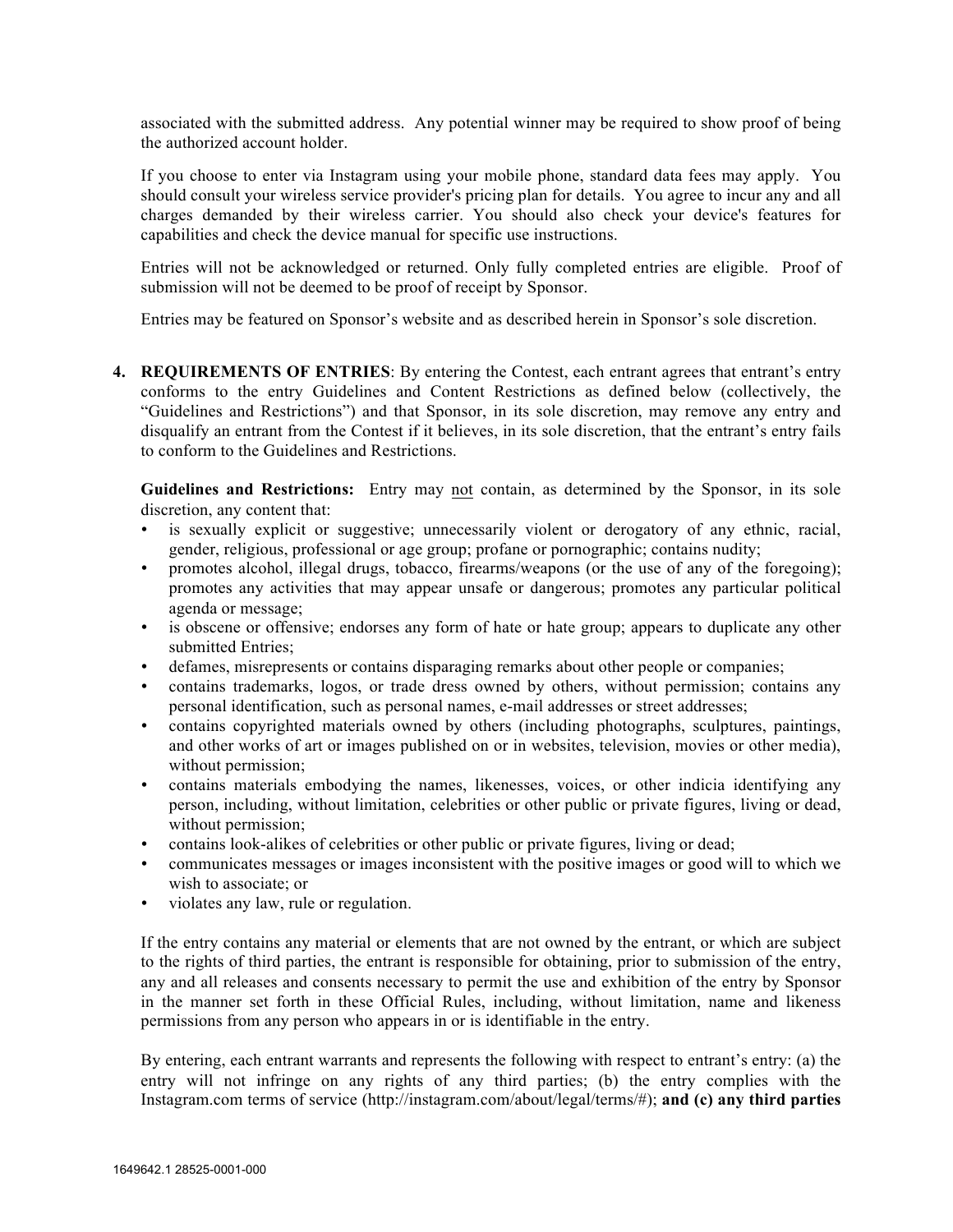associated with the submitted address. Any potential winner may be required to show proof of being the authorized account holder.

If you choose to enter via Instagram using your mobile phone, standard data fees may apply. You should consult your wireless service provider's pricing plan for details. You agree to incur any and all charges demanded by their wireless carrier. You should also check your device's features for capabilities and check the device manual for specific use instructions.

Entries will not be acknowledged or returned. Only fully completed entries are eligible. Proof of submission will not be deemed to be proof of receipt by Sponsor.

Entries may be featured on Sponsor's website and as described herein in Sponsor's sole discretion.

**4. REQUIREMENTS OF ENTRIES**: By entering the Contest, each entrant agrees that entrant's entry conforms to the entry Guidelines and Content Restrictions as defined below (collectively, the "Guidelines and Restrictions") and that Sponsor, in its sole discretion, may remove any entry and disqualify an entrant from the Contest if it believes, in its sole discretion, that the entrant's entry fails to conform to the Guidelines and Restrictions.

**Guidelines and Restrictions:** Entry may not contain, as determined by the Sponsor, in its sole discretion, any content that:

- is sexually explicit or suggestive; unnecessarily violent or derogatory of any ethnic, racial, gender, religious, professional or age group; profane or pornographic; contains nudity;
- promotes alcohol, illegal drugs, tobacco, firearms/weapons (or the use of any of the foregoing); promotes any activities that may appear unsafe or dangerous; promotes any particular political agenda or message;
- is obscene or offensive; endorses any form of hate or hate group; appears to duplicate any other submitted Entries;
- defames, misrepresents or contains disparaging remarks about other people or companies;
- contains trademarks, logos, or trade dress owned by others, without permission; contains any personal identification, such as personal names, e-mail addresses or street addresses;
- contains copyrighted materials owned by others (including photographs, sculptures, paintings, and other works of art or images published on or in websites, television, movies or other media), without permission;
- contains materials embodying the names, likenesses, voices, or other indicia identifying any person, including, without limitation, celebrities or other public or private figures, living or dead, without permission;
- contains look-alikes of celebrities or other public or private figures, living or dead;
- communicates messages or images inconsistent with the positive images or good will to which we wish to associate; or
- violates any law, rule or regulation.

If the entry contains any material or elements that are not owned by the entrant, or which are subject to the rights of third parties, the entrant is responsible for obtaining, prior to submission of the entry, any and all releases and consents necessary to permit the use and exhibition of the entry by Sponsor in the manner set forth in these Official Rules, including, without limitation, name and likeness permissions from any person who appears in or is identifiable in the entry.

By entering, each entrant warrants and represents the following with respect to entrant's entry: (a) the entry will not infringe on any rights of any third parties; (b) the entry complies with the Instagram.com terms of service (http://instagram.com/about/legal/terms/#); **and (c) any third parties**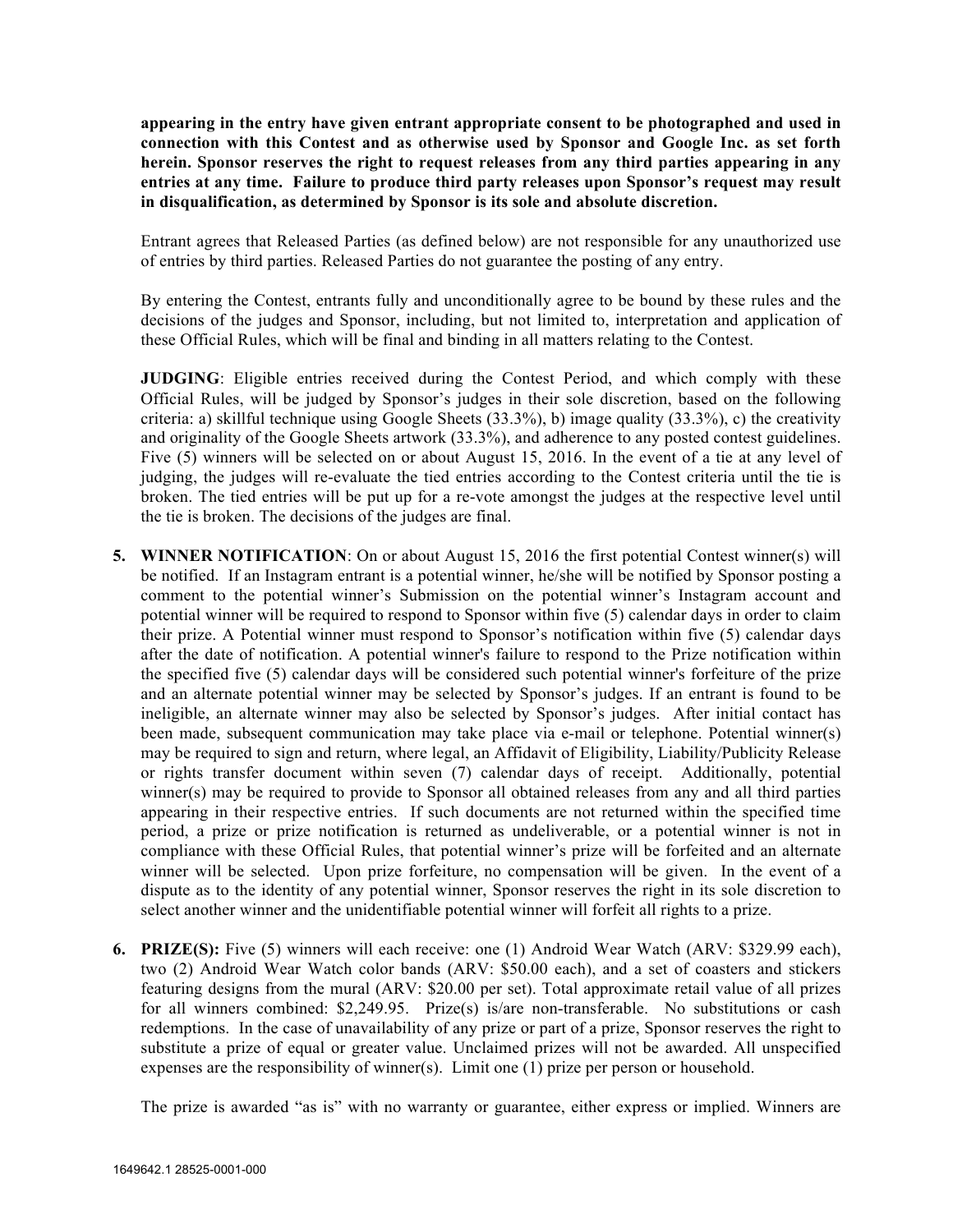**appearing in the entry have given entrant appropriate consent to be photographed and used in connection with this Contest and as otherwise used by Sponsor and Google Inc. as set forth herein. Sponsor reserves the right to request releases from any third parties appearing in any entries at any time. Failure to produce third party releases upon Sponsor's request may result in disqualification, as determined by Sponsor is its sole and absolute discretion.** 

Entrant agrees that Released Parties (as defined below) are not responsible for any unauthorized use of entries by third parties. Released Parties do not guarantee the posting of any entry.

By entering the Contest, entrants fully and unconditionally agree to be bound by these rules and the decisions of the judges and Sponsor, including, but not limited to, interpretation and application of these Official Rules, which will be final and binding in all matters relating to the Contest.

**JUDGING**: Eligible entries received during the Contest Period, and which comply with these Official Rules, will be judged by Sponsor's judges in their sole discretion, based on the following criteria: a) skillful technique using Google Sheets  $(33.3\%)$ , b) image quality  $(33.3\%)$ , c) the creativity and originality of the Google Sheets artwork (33.3%), and adherence to any posted contest guidelines. Five (5) winners will be selected on or about August 15, 2016. In the event of a tie at any level of judging, the judges will re-evaluate the tied entries according to the Contest criteria until the tie is broken. The tied entries will be put up for a re-vote amongst the judges at the respective level until the tie is broken. The decisions of the judges are final.

- **5. WINNER NOTIFICATION**: On or about August 15, 2016 the first potential Contest winner(s) will be notified. If an Instagram entrant is a potential winner, he/she will be notified by Sponsor posting a comment to the potential winner's Submission on the potential winner's Instagram account and potential winner will be required to respond to Sponsor within five (5) calendar days in order to claim their prize. A Potential winner must respond to Sponsor's notification within five (5) calendar days after the date of notification. A potential winner's failure to respond to the Prize notification within the specified five (5) calendar days will be considered such potential winner's forfeiture of the prize and an alternate potential winner may be selected by Sponsor's judges. If an entrant is found to be ineligible, an alternate winner may also be selected by Sponsor's judges. After initial contact has been made, subsequent communication may take place via e-mail or telephone. Potential winner(s) may be required to sign and return, where legal, an Affidavit of Eligibility, Liability/Publicity Release or rights transfer document within seven (7) calendar days of receipt. Additionally, potential winner(s) may be required to provide to Sponsor all obtained releases from any and all third parties appearing in their respective entries. If such documents are not returned within the specified time period, a prize or prize notification is returned as undeliverable, or a potential winner is not in compliance with these Official Rules, that potential winner's prize will be forfeited and an alternate winner will be selected. Upon prize forfeiture, no compensation will be given. In the event of a dispute as to the identity of any potential winner, Sponsor reserves the right in its sole discretion to select another winner and the unidentifiable potential winner will forfeit all rights to a prize.
- **6. PRIZE(S):** Five (5) winners will each receive: one (1) Android Wear Watch (ARV: \$329.99 each), two (2) Android Wear Watch color bands (ARV: \$50.00 each), and a set of coasters and stickers featuring designs from the mural (ARV: \$20.00 per set). Total approximate retail value of all prizes for all winners combined: \$2,249.95. Prize(s) is/are non-transferable. No substitutions or cash redemptions. In the case of unavailability of any prize or part of a prize, Sponsor reserves the right to substitute a prize of equal or greater value. Unclaimed prizes will not be awarded. All unspecified expenses are the responsibility of winner(s). Limit one (1) prize per person or household.

The prize is awarded "as is" with no warranty or guarantee, either express or implied. Winners are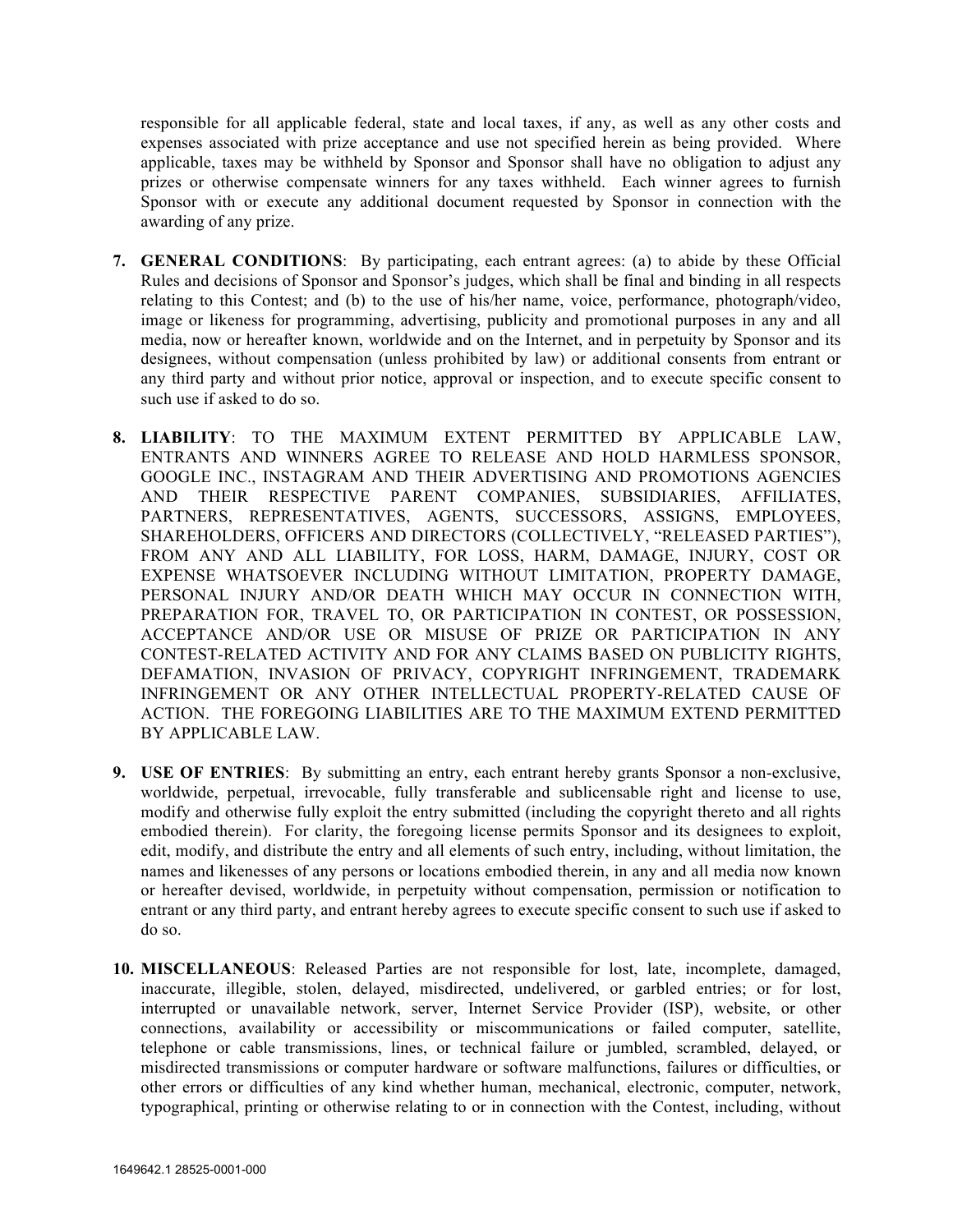responsible for all applicable federal, state and local taxes, if any, as well as any other costs and expenses associated with prize acceptance and use not specified herein as being provided. Where applicable, taxes may be withheld by Sponsor and Sponsor shall have no obligation to adjust any prizes or otherwise compensate winners for any taxes withheld. Each winner agrees to furnish Sponsor with or execute any additional document requested by Sponsor in connection with the awarding of any prize.

- **7. GENERAL CONDITIONS**: By participating, each entrant agrees: (a) to abide by these Official Rules and decisions of Sponsor and Sponsor's judges, which shall be final and binding in all respects relating to this Contest; and (b) to the use of his/her name, voice, performance, photograph/video, image or likeness for programming, advertising, publicity and promotional purposes in any and all media, now or hereafter known, worldwide and on the Internet, and in perpetuity by Sponsor and its designees, without compensation (unless prohibited by law) or additional consents from entrant or any third party and without prior notice, approval or inspection, and to execute specific consent to such use if asked to do so.
- **8. LIABILITY**: TO THE MAXIMUM EXTENT PERMITTED BY APPLICABLE LAW, ENTRANTS AND WINNERS AGREE TO RELEASE AND HOLD HARMLESS SPONSOR, GOOGLE INC., INSTAGRAM AND THEIR ADVERTISING AND PROMOTIONS AGENCIES AND THEIR RESPECTIVE PARENT COMPANIES, SUBSIDIARIES, AFFILIATES, PARTNERS, REPRESENTATIVES, AGENTS, SUCCESSORS, ASSIGNS, EMPLOYEES, SHAREHOLDERS, OFFICERS AND DIRECTORS (COLLECTIVELY, "RELEASED PARTIES"), FROM ANY AND ALL LIABILITY, FOR LOSS, HARM, DAMAGE, INJURY, COST OR EXPENSE WHATSOEVER INCLUDING WITHOUT LIMITATION, PROPERTY DAMAGE, PERSONAL INJURY AND/OR DEATH WHICH MAY OCCUR IN CONNECTION WITH, PREPARATION FOR, TRAVEL TO, OR PARTICIPATION IN CONTEST, OR POSSESSION, ACCEPTANCE AND/OR USE OR MISUSE OF PRIZE OR PARTICIPATION IN ANY CONTEST-RELATED ACTIVITY AND FOR ANY CLAIMS BASED ON PUBLICITY RIGHTS, DEFAMATION, INVASION OF PRIVACY, COPYRIGHT INFRINGEMENT, TRADEMARK INFRINGEMENT OR ANY OTHER INTELLECTUAL PROPERTY-RELATED CAUSE OF ACTION. THE FOREGOING LIABILITIES ARE TO THE MAXIMUM EXTEND PERMITTED BY APPLICABLE LAW.
- **9. USE OF ENTRIES**: By submitting an entry, each entrant hereby grants Sponsor a non-exclusive, worldwide, perpetual, irrevocable, fully transferable and sublicensable right and license to use, modify and otherwise fully exploit the entry submitted (including the copyright thereto and all rights embodied therein). For clarity, the foregoing license permits Sponsor and its designees to exploit, edit, modify, and distribute the entry and all elements of such entry, including, without limitation, the names and likenesses of any persons or locations embodied therein, in any and all media now known or hereafter devised, worldwide, in perpetuity without compensation, permission or notification to entrant or any third party, and entrant hereby agrees to execute specific consent to such use if asked to do so.
- **10. MISCELLANEOUS**: Released Parties are not responsible for lost, late, incomplete, damaged, inaccurate, illegible, stolen, delayed, misdirected, undelivered, or garbled entries; or for lost, interrupted or unavailable network, server, Internet Service Provider (ISP), website, or other connections, availability or accessibility or miscommunications or failed computer, satellite, telephone or cable transmissions, lines, or technical failure or jumbled, scrambled, delayed, or misdirected transmissions or computer hardware or software malfunctions, failures or difficulties, or other errors or difficulties of any kind whether human, mechanical, electronic, computer, network, typographical, printing or otherwise relating to or in connection with the Contest, including, without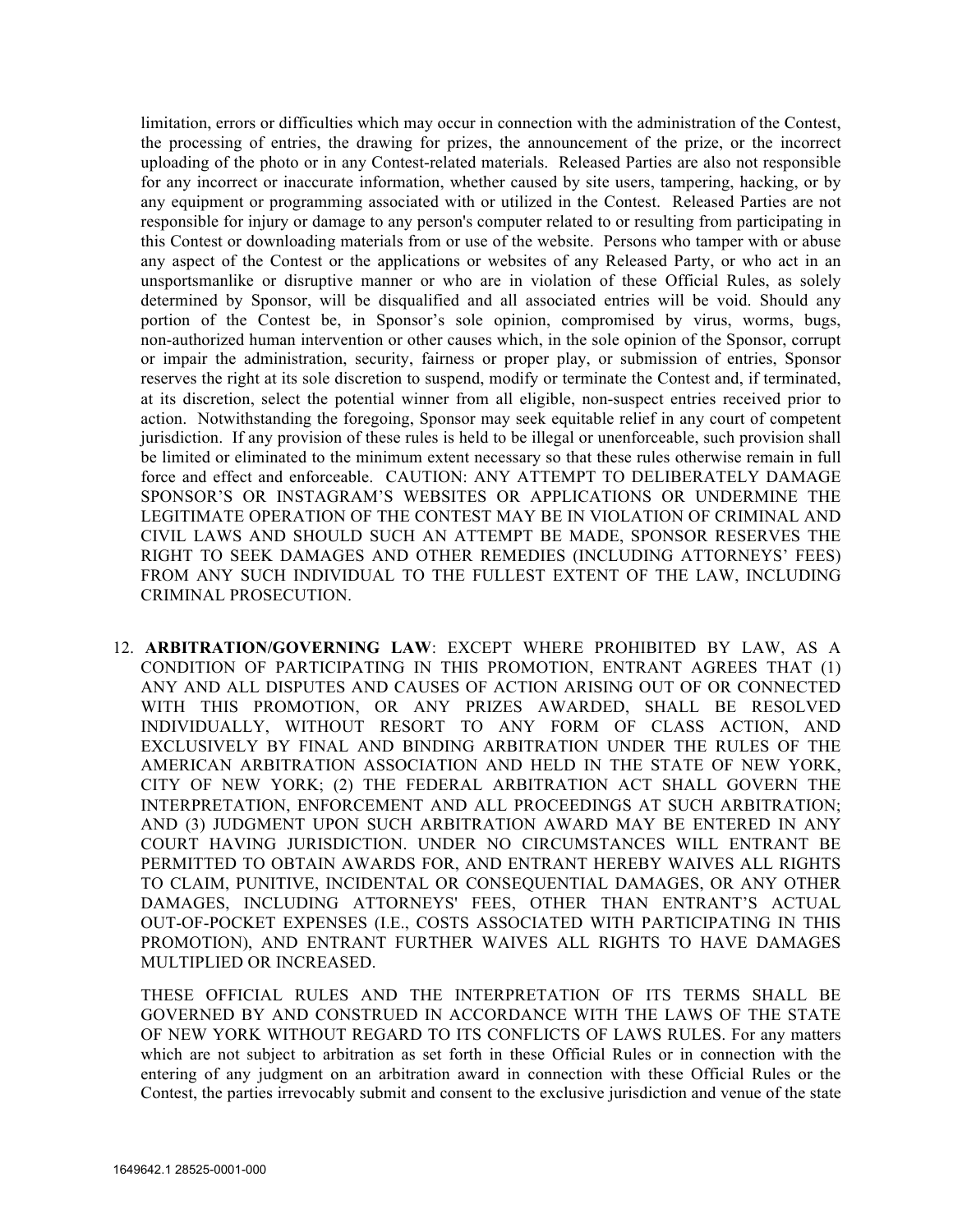limitation, errors or difficulties which may occur in connection with the administration of the Contest, the processing of entries, the drawing for prizes, the announcement of the prize, or the incorrect uploading of the photo or in any Contest-related materials. Released Parties are also not responsible for any incorrect or inaccurate information, whether caused by site users, tampering, hacking, or by any equipment or programming associated with or utilized in the Contest. Released Parties are not responsible for injury or damage to any person's computer related to or resulting from participating in this Contest or downloading materials from or use of the website. Persons who tamper with or abuse any aspect of the Contest or the applications or websites of any Released Party, or who act in an unsportsmanlike or disruptive manner or who are in violation of these Official Rules, as solely determined by Sponsor, will be disqualified and all associated entries will be void. Should any portion of the Contest be, in Sponsor's sole opinion, compromised by virus, worms, bugs, non-authorized human intervention or other causes which, in the sole opinion of the Sponsor, corrupt or impair the administration, security, fairness or proper play, or submission of entries, Sponsor reserves the right at its sole discretion to suspend, modify or terminate the Contest and, if terminated, at its discretion, select the potential winner from all eligible, non-suspect entries received prior to action. Notwithstanding the foregoing, Sponsor may seek equitable relief in any court of competent jurisdiction. If any provision of these rules is held to be illegal or unenforceable, such provision shall be limited or eliminated to the minimum extent necessary so that these rules otherwise remain in full force and effect and enforceable. CAUTION: ANY ATTEMPT TO DELIBERATELY DAMAGE SPONSOR'S OR INSTAGRAM'S WEBSITES OR APPLICATIONS OR UNDERMINE THE LEGITIMATE OPERATION OF THE CONTEST MAY BE IN VIOLATION OF CRIMINAL AND CIVIL LAWS AND SHOULD SUCH AN ATTEMPT BE MADE, SPONSOR RESERVES THE RIGHT TO SEEK DAMAGES AND OTHER REMEDIES (INCLUDING ATTORNEYS' FEES) FROM ANY SUCH INDIVIDUAL TO THE FULLEST EXTENT OF THE LAW, INCLUDING CRIMINAL PROSECUTION.

12. **ARBITRATION/GOVERNING LAW**: EXCEPT WHERE PROHIBITED BY LAW, AS A CONDITION OF PARTICIPATING IN THIS PROMOTION, ENTRANT AGREES THAT (1) ANY AND ALL DISPUTES AND CAUSES OF ACTION ARISING OUT OF OR CONNECTED WITH THIS PROMOTION, OR ANY PRIZES AWARDED, SHALL BE RESOLVED INDIVIDUALLY, WITHOUT RESORT TO ANY FORM OF CLASS ACTION, AND EXCLUSIVELY BY FINAL AND BINDING ARBITRATION UNDER THE RULES OF THE AMERICAN ARBITRATION ASSOCIATION AND HELD IN THE STATE OF NEW YORK, CITY OF NEW YORK; (2) THE FEDERAL ARBITRATION ACT SHALL GOVERN THE INTERPRETATION, ENFORCEMENT AND ALL PROCEEDINGS AT SUCH ARBITRATION; AND (3) JUDGMENT UPON SUCH ARBITRATION AWARD MAY BE ENTERED IN ANY COURT HAVING JURISDICTION. UNDER NO CIRCUMSTANCES WILL ENTRANT BE PERMITTED TO OBTAIN AWARDS FOR, AND ENTRANT HEREBY WAIVES ALL RIGHTS TO CLAIM, PUNITIVE, INCIDENTAL OR CONSEQUENTIAL DAMAGES, OR ANY OTHER DAMAGES, INCLUDING ATTORNEYS' FEES, OTHER THAN ENTRANT'S ACTUAL OUT-OF-POCKET EXPENSES (I.E., COSTS ASSOCIATED WITH PARTICIPATING IN THIS PROMOTION), AND ENTRANT FURTHER WAIVES ALL RIGHTS TO HAVE DAMAGES MULTIPLIED OR INCREASED.

THESE OFFICIAL RULES AND THE INTERPRETATION OF ITS TERMS SHALL BE GOVERNED BY AND CONSTRUED IN ACCORDANCE WITH THE LAWS OF THE STATE OF NEW YORK WITHOUT REGARD TO ITS CONFLICTS OF LAWS RULES. For any matters which are not subject to arbitration as set forth in these Official Rules or in connection with the entering of any judgment on an arbitration award in connection with these Official Rules or the Contest, the parties irrevocably submit and consent to the exclusive jurisdiction and venue of the state